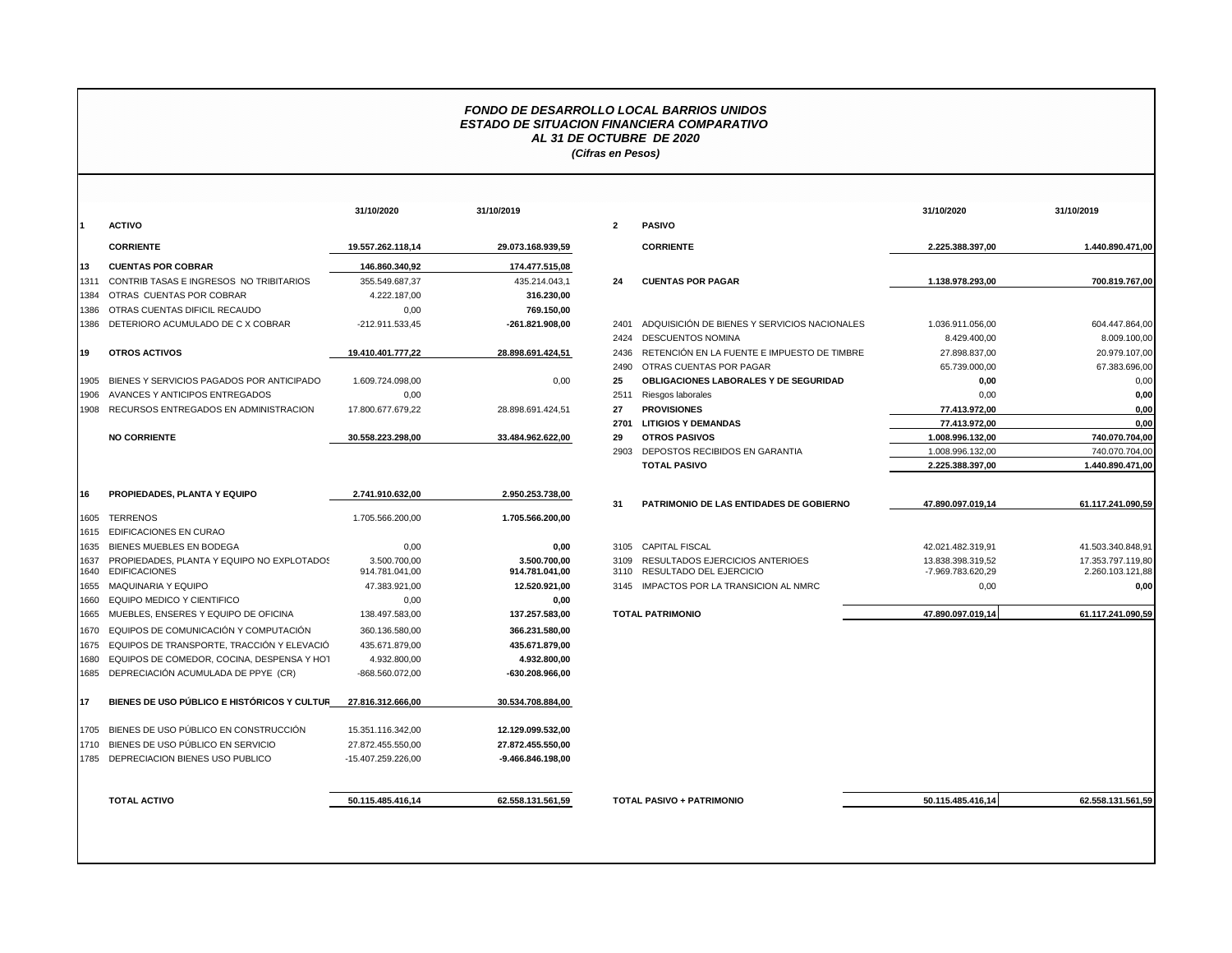## *FONDO DE DESARROLLO LOCAL BARRIOS UNIDOS ESTADO DE SITUACION FINANCIERA COMPARATIVO AL 31 DE OCTUBRE DE 2020 (Cifras en Pesos)*

|              |                                                                    | 31/10/2020                     | 31/10/2019                     |                |                                |
|--------------|--------------------------------------------------------------------|--------------------------------|--------------------------------|----------------|--------------------------------|
| 1            | <b>ACTIVO</b>                                                      |                                |                                | $\overline{2}$ | <b>PASIVO</b>                  |
|              | <b>CORRIENTE</b>                                                   | 19.557.262.118.14              | 29.073.168.939.59              |                | <b>CORRIE</b>                  |
| 13           | <b>CUENTAS POR COBRAR</b>                                          | 146.860.340,92                 | 174.477.515,08                 |                |                                |
| 1311         | CONTRIB TASAS E INGRESOS NO TRIBITARIOS                            | 355.549.687,37                 | 435.214.043,1                  | 24             | <b>CUENT/</b>                  |
| 1384         | OTRAS CUENTAS POR COBRAR                                           | 4.222.187.00                   | 316.230,00                     |                |                                |
| 1386         | OTRAS CUENTAS DIFICIL RECAUDO                                      | 0,00                           | 769.150,00                     |                |                                |
| 1386         | DETERIORO ACUMULADO DE C X COBRAR                                  | -212.911.533,45                | -261.821.908,00                | 2401           | <b>ADQUIS</b>                  |
|              |                                                                    |                                |                                | 2424           | <b>DESCUI</b>                  |
| 19           | <b>OTROS ACTIVOS</b>                                               | 19.410.401.777,22              | 28.898.691.424,51              | 2436           | <b>RETENO</b>                  |
|              |                                                                    |                                |                                | 2490           | <b>OTRAS</b>                   |
| 1905         | BIENES Y SERVICIOS PAGADOS POR ANTICIPADO                          | 1.609.724.098,00               | 0,00                           | 25             | <b>OBLIGA</b>                  |
| 1906         | AVANCES Y ANTICIPOS ENTREGADOS                                     | 0.00                           |                                | 2511           | Riesgos                        |
| 1908         | RECURSOS ENTREGADOS EN ADMINISTRACION                              | 17.800.677.679,22              | 28.898.691.424,51              | 27             | <b>PROVIS</b>                  |
|              |                                                                    |                                |                                | 2701           | <b>LITIGIO</b>                 |
|              | <b>NO CORRIENTE</b>                                                | 30.558.223.298,00              | 33.484.962.622,00              | 29             | <b>OTROS</b>                   |
|              |                                                                    |                                |                                | 2903           | DEPOS <sup>-</sup>             |
|              |                                                                    |                                |                                |                | <b>TOTAL</b>                   |
| 16           | PROPIEDADES, PLANTA Y EQUIPO                                       | 2.741.910.632,00               | 2.950.253.738,00               | 31             | <b>PATRIM</b>                  |
| 1605         | <b>TERRENOS</b>                                                    | 1.705.566.200,00               | 1.705.566.200,00               |                |                                |
| 1615         | EDIFICACIONES EN CURAO                                             |                                |                                |                |                                |
| 1635         | BIENES MUEBLES EN BODEGA                                           | 0,00                           | 0,00                           | 3105           | <b>CAPITA</b>                  |
| 1637<br>1640 | PROPIEDADES, PLANTA Y EQUIPO NO EXPLOTADOS<br><b>EDIFICACIONES</b> | 3.500.700.00<br>914.781.041.00 | 3.500.700.00<br>914.781.041.00 | 3109<br>3110   | <b>RESULT</b><br><b>RESULT</b> |
| 1655         | MAQUINARIA Y EQUIPO                                                | 47.383.921,00                  | 12.520.921,00                  | 3145           | <b>IMPACT</b>                  |
| 1660         | EQUIPO MEDICO Y CIENTIFICO                                         | 0,00                           | 0,00                           |                |                                |
| 1665         | MUEBLES, ENSERES Y EQUIPO DE OFICINA                               | 138.497.583,00                 | 137.257.583,00                 |                | <b>TOTAL PATRIN</b>            |
| 1670         | EQUIPOS DE COMUNICACIÓN Y COMPUTACIÓN                              | 360.136.580.00                 | 366.231.580.00                 |                |                                |
| 1675         | EQUIPOS DE TRANSPORTE, TRACCIÓN Y ELEVACIÓ                         | 435.671.879,00                 | 435.671.879,00                 |                |                                |
| 1680         | EQUIPOS DE COMEDOR, COCINA, DESPENSA Y HOT                         | 4.932.800,00                   | 4.932.800,00                   |                |                                |
| 1685         | DEPRECIACIÓN ACUMULADA DE PPYE (CR)                                | -868.560.072,00                | -630.208.966,00                |                |                                |
| 17           | BIENES DE USO PÚBLICO E HISTÓRICOS Y CULTUR                        | 27.816.312.666,00              | 30.534.708.884,00              |                |                                |
| 1705         | BIENES DE USO PÚBLICO EN CONSTRUCCIÓN                              | 15.351.116.342.00              | 12.129.099.532,00              |                |                                |
| 1710         | BIENES DE USO PÚBLICO EN SERVICIO                                  | 27.872.455.550,00              | 27.872.455.550,00              |                |                                |
| 1785         | DEPRECIACION BIENES USO PUBLICO                                    | -15.407.259.226,00             | -9.466.846.198.00              |                |                                |
|              |                                                                    |                                |                                |                |                                |
|              | <b>TOTAL ACTIVO</b>                                                | 50.115.485.416,14              | 62.558.131.561,59              |                | <b>TOTAL PASIVO</b>            |

|      |                                                                       | 31/10/2020                     | 31/10/2019                     |                         |                                                                   | 31/10/2020                             | 31/10/2019                            |
|------|-----------------------------------------------------------------------|--------------------------------|--------------------------------|-------------------------|-------------------------------------------------------------------|----------------------------------------|---------------------------------------|
|      | <b>ACTIVO</b>                                                         |                                |                                | $\overline{\mathbf{2}}$ | <b>PASIVO</b>                                                     |                                        |                                       |
|      | <b>CORRIENTE</b>                                                      | 19.557.262.118.14              | 29.073.168.939,59              |                         | <b>CORRIENTE</b>                                                  | 2.225.388.397,00                       | 1.440.890.471,00                      |
| 13   | <b>CUENTAS POR COBRAR</b>                                             | 146.860.340.92                 | 174.477.515,08                 |                         |                                                                   |                                        |                                       |
| 1311 | CONTRIB TASAS E INGRESOS NO TRIBITARIOS                               | 355.549.687,37                 | 435.214.043,1                  | 24                      | <b>CUENTAS POR PAGAR</b>                                          | 1.138.978.293,00                       | 700.819.767,00                        |
| 1384 | OTRAS CUENTAS POR COBRAR                                              | 4.222.187,00                   | 316.230,00                     |                         |                                                                   |                                        |                                       |
|      | 1386 OTRAS CUENTAS DIFICIL RECAUDO                                    | 0,00                           | 769.150,00                     |                         |                                                                   |                                        |                                       |
|      | 1386 DETERIORO ACUMULADO DE C X COBRAR                                | -212.911.533.45                | -261.821.908.00                | 2401                    | ADQUISICIÓN DE BIENES Y SERVICIOS NACIONALES                      | 1.036.911.056.00                       | 604.447.864,00                        |
|      |                                                                       |                                |                                | 2424                    | <b>DESCUENTOS NOMINA</b>                                          | 8.429.400,00                           | 8.009.100,00                          |
| 19   | <b>OTROS ACTIVOS</b>                                                  | 19.410.401.777.22              | 28.898.691.424,51              | 2436                    | RETENCIÓN EN LA FUENTE E IMPUESTO DE TIMBRE                       | 27.898.837,00                          | 20.979.107,00                         |
|      |                                                                       |                                |                                | 2490                    | OTRAS CUENTAS POR PAGAR                                           | 65.739.000,00                          | 67.383.696,00                         |
|      | 1905 BIENES Y SERVICIOS PAGADOS POR ANTICIPADO                        | 1.609.724.098,00               | 0,00                           | 25                      | OBLIGACIONES LABORALES Y DE SEGURIDAD                             | 0,00                                   | 0,00                                  |
|      | 1906 AVANCES Y ANTICIPOS ENTREGADOS                                   | 0,00                           |                                | 2511                    | Riesgos laborales                                                 | 0,00                                   | 0,00                                  |
|      | 1908 RECURSOS ENTREGADOS EN ADMINISTRACION                            | 17.800.677.679,22              | 28.898.691.424,51              | 27                      | <b>PROVISIONES</b>                                                | 77.413.972,00                          | 0,00                                  |
|      |                                                                       |                                |                                | 2701                    | <b>LITIGIOS Y DEMANDAS</b>                                        | 77.413.972,00                          | 0,00                                  |
|      | <b>NO CORRIENTE</b>                                                   | 30.558.223.298.00              | 33.484.962.622,00              | 29                      | <b>OTROS PASIVOS</b>                                              | 1.008.996.132.00                       | 740.070.704,00                        |
|      |                                                                       |                                |                                | 2903                    | DEPOSTOS RECIBIDOS EN GARANTIA                                    | 1.008.996.132,00                       | 740.070.704,00                        |
|      |                                                                       |                                |                                |                         | <b>TOTAL PASIVO</b>                                               | 2.225.388.397,00                       | 1.440.890.471,00                      |
|      |                                                                       |                                |                                |                         |                                                                   |                                        |                                       |
| 16   | <b>PROPIEDADES, PLANTA Y EQUIPO</b>                                   | 2.741.910.632,00               | 2.950.253.738,00               |                         |                                                                   |                                        |                                       |
|      |                                                                       |                                |                                | 31                      | PATRIMONIO DE LAS ENTIDADES DE GOBIERNO                           | 47.890.097.019.14                      | 61.117.241.090.59                     |
|      | 1605 TERRENOS                                                         | 1.705.566.200,00               | 1.705.566.200,00               |                         |                                                                   |                                        |                                       |
|      | 1615 EDIFICACIONES EN CURAO                                           |                                |                                |                         |                                                                   |                                        |                                       |
|      | 1635 BIENES MUEBLES EN BODEGA                                         | 0,00                           | 0,00                           | 3105                    | <b>CAPITAL FISCAL</b>                                             | 42.021.482.319,91                      | 41.503.340.848,91                     |
|      | 1637 PROPIEDADES, PLANTA Y EQUIPO NO EXPLOTADOS<br>1640 EDIFICACIONES | 3.500.700.00<br>914.781.041,00 | 3.500.700.00<br>914.781.041,00 | 3109<br>3110            | <b>RESULTADOS EJERCICIOS ANTERIOES</b><br>RESULTADO DEL EJERCICIO | 13.838.398.319,52<br>-7.969.783.620,29 | 17.353.797.119,80<br>2.260.103.121,88 |
|      | 1655 MAQUINARIA Y EQUIPO                                              | 47.383.921,00                  | 12.520.921,00                  |                         | 3145 IMPACTOS POR LA TRANSICION AL NMRC                           | 0,00                                   | 0,00                                  |
|      | 1660 EQUIPO MEDICO Y CIENTIFICO                                       | 0,00                           | 0,00                           |                         |                                                                   |                                        |                                       |
|      | 1665 MUEBLES, ENSERES Y EQUIPO DE OFICINA                             | 138.497.583,00                 | 137.257.583,00                 |                         | <b>TOTAL PATRIMONIO</b>                                           | 47.890.097.019,14                      | 61.117.241.090,59                     |
|      | 1670 EQUIPOS DE COMUNICACIÓN Y COMPUTACIÓN                            | 360.136.580.00                 | 366.231.580.00                 |                         |                                                                   |                                        |                                       |
|      | 1675 EQUIPOS DE TRANSPORTE. TRACCIÓN Y ELEVACIÓ                       | 435.671.879.00                 | 435.671.879.00                 |                         |                                                                   |                                        |                                       |
|      | 1680 EQUIPOS DE COMEDOR, COCINA, DESPENSA Y HOT                       | 4.932.800,00                   | 4.932.800,00                   |                         |                                                                   |                                        |                                       |
|      | 1685 DEPRECIACIÓN ACUMULADA DE PPYE (CR)                              | -868.560.072,00                | -630.208.966,00                |                         |                                                                   |                                        |                                       |
| 17   | BIENES DE USO PÚBLICO E HISTÓRICOS Y CULTUR                           | 27.816.312.666.00              | 30.534.708.884,00              |                         |                                                                   |                                        |                                       |
|      | 1705 BIENES DE USO PÚBLICO EN CONSTRUCCIÓN                            | 15.351.116.342,00              | 12.129.099.532,00              |                         |                                                                   |                                        |                                       |
|      | 1710 BIENES DE USO PÚBLICO EN SERVICIO                                | 27.872.455.550,00              | 27.872.455.550,00              |                         |                                                                   |                                        |                                       |
|      | 1785 DEPRECIACION BIENES USO PUBLICO                                  | -15.407.259.226,00             | -9.466.846.198,00              |                         |                                                                   |                                        |                                       |
|      | <b>TOTAL ACTIVO</b>                                                   | 50.115.485.416.14              | 62.558.131.561,59              |                         | <b>TOTAL PASIVO + PATRIMONIO</b>                                  | 50.115.485.416.14                      | 62.558.131.561,59                     |
|      |                                                                       |                                |                                |                         |                                                                   |                                        |                                       |